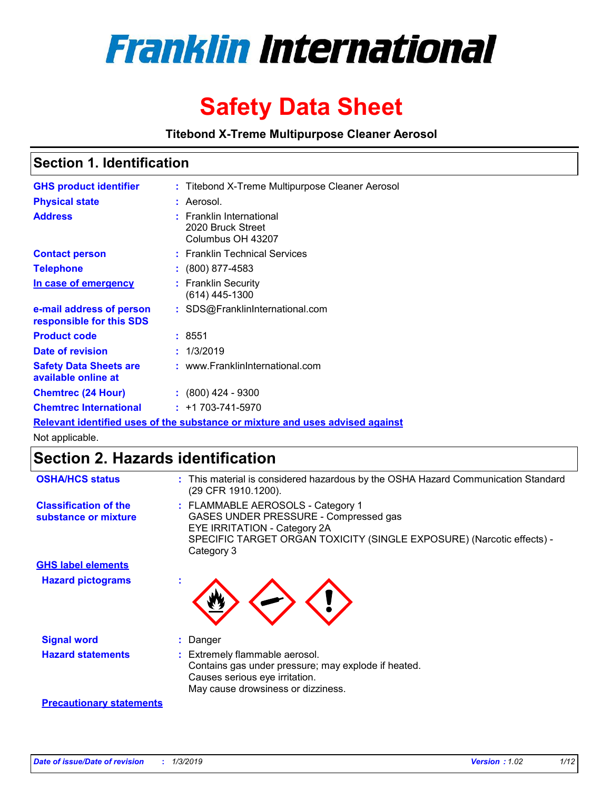

# **Safety Data Sheet**

**Titebond X-Treme Multipurpose Cleaner Aerosol**

# **Section 1. Identification**

| <b>GHS product identifier</b>                                                 | : Titebond X-Treme Multipurpose Cleaner Aerosol                    |  |  |  |
|-------------------------------------------------------------------------------|--------------------------------------------------------------------|--|--|--|
| <b>Physical state</b>                                                         | : Aerosol.                                                         |  |  |  |
| <b>Address</b>                                                                | : Franklin International<br>2020 Bruck Street<br>Columbus OH 43207 |  |  |  |
| <b>Contact person</b>                                                         | : Franklin Technical Services                                      |  |  |  |
| <b>Telephone</b>                                                              | $\colon$ (800) 877-4583                                            |  |  |  |
| In case of emergency                                                          | : Franklin Security<br>(614) 445-1300                              |  |  |  |
| e-mail address of person<br>responsible for this SDS                          | : SDS@FranklinInternational.com                                    |  |  |  |
| <b>Product code</b>                                                           | : 8551                                                             |  |  |  |
| Date of revision                                                              | : 1/3/2019                                                         |  |  |  |
| <b>Safety Data Sheets are</b><br>available online at                          | : www.FranklinInternational.com                                    |  |  |  |
| <b>Chemtrec (24 Hour)</b>                                                     | $\div$ (800) 424 - 9300                                            |  |  |  |
| <b>Chemtrec International</b>                                                 | $: +1703 - 741 - 5970$                                             |  |  |  |
| Relevant identified uses of the substance or mixture and uses advised against |                                                                    |  |  |  |

Not applicable.

# **Section 2. Hazards identification**

| <b>OSHA/HCS status</b>                               | : This material is considered hazardous by the OSHA Hazard Communication Standard<br>(29 CFR 1910.1200).                                                                                                 |
|------------------------------------------------------|----------------------------------------------------------------------------------------------------------------------------------------------------------------------------------------------------------|
| <b>Classification of the</b><br>substance or mixture | : FLAMMABLE AEROSOLS - Category 1<br>GASES UNDER PRESSURE - Compressed gas<br><b>EYE IRRITATION - Category 2A</b><br>SPECIFIC TARGET ORGAN TOXICITY (SINGLE EXPOSURE) (Narcotic effects) -<br>Category 3 |
| <b>GHS label elements</b>                            |                                                                                                                                                                                                          |
| <b>Hazard pictograms</b>                             |                                                                                                                                                                                                          |
| <b>Signal word</b>                                   | : Danger                                                                                                                                                                                                 |
| <b>Hazard statements</b>                             | : Extremely flammable aerosol.<br>Contains gas under pressure; may explode if heated.<br>Causes serious eye irritation.<br>May cause drowsiness or dizziness.                                            |
| <b>Precautionary statements</b>                      |                                                                                                                                                                                                          |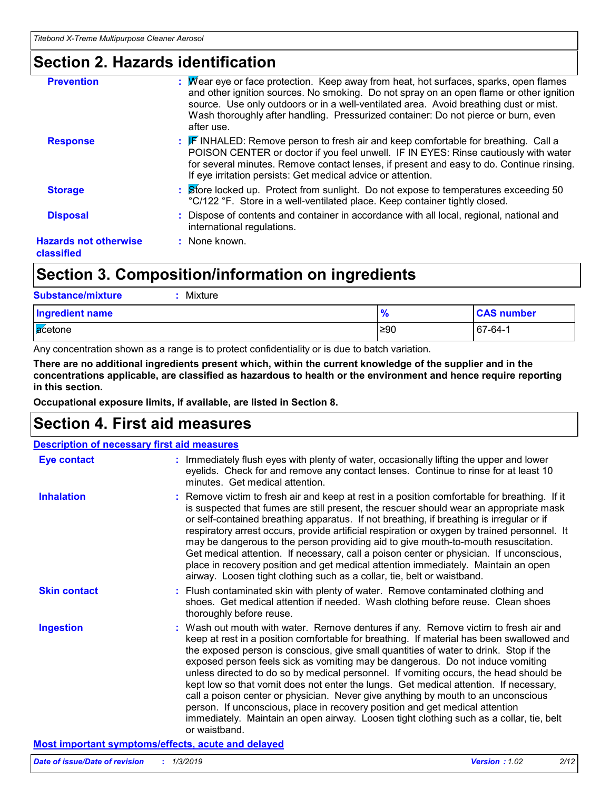# **Section 2. Hazards identification**

| <b>Prevention</b>                          | : Mear eye or face protection. Keep away from heat, hot surfaces, sparks, open flames<br>and other ignition sources. No smoking. Do not spray on an open flame or other ignition<br>source. Use only outdoors or in a well-ventilated area. Avoid breathing dust or mist.<br>Wash thoroughly after handling. Pressurized container: Do not pierce or burn, even<br>after use. |
|--------------------------------------------|-------------------------------------------------------------------------------------------------------------------------------------------------------------------------------------------------------------------------------------------------------------------------------------------------------------------------------------------------------------------------------|
| <b>Response</b>                            | $\mathbb{F}$ INHALED: Remove person to fresh air and keep comfortable for breathing. Call a<br>POISON CENTER or doctor if you feel unwell. IF IN EYES: Rinse cautiously with water<br>for several minutes. Remove contact lenses, if present and easy to do. Continue rinsing.<br>If eye irritation persists: Get medical advice or attention.                                |
| <b>Storage</b>                             | : Store locked up. Protect from sunlight. Do not expose to temperatures exceeding 50<br>°C/122 °F. Store in a well-ventilated place. Keep container tightly closed.                                                                                                                                                                                                           |
| <b>Disposal</b>                            | : Dispose of contents and container in accordance with all local, regional, national and<br>international regulations.                                                                                                                                                                                                                                                        |
| <b>Hazards not otherwise</b><br>classified | : None known.                                                                                                                                                                                                                                                                                                                                                                 |

# **Section 3. Composition/information on ingredients**

| <b>Substance/mixture</b><br>Mixture |                    |                   |
|-------------------------------------|--------------------|-------------------|
| <b>Ingredient name</b>              | $\mathbf{o}$<br>70 | <b>CAS number</b> |
| acetone                             | ≥90                | 67-64-1           |

Any concentration shown as a range is to protect confidentiality or is due to batch variation.

**There are no additional ingredients present which, within the current knowledge of the supplier and in the concentrations applicable, are classified as hazardous to health or the environment and hence require reporting in this section.**

**Occupational exposure limits, if available, are listed in Section 8.**

# **Section 4. First aid measures**

| <b>Description of necessary first aid measures</b> |                                                                                                                                                                                                                                                                                                                                                                                                                                                                                                                                                                                                                                                                                                                                                                                                                               |
|----------------------------------------------------|-------------------------------------------------------------------------------------------------------------------------------------------------------------------------------------------------------------------------------------------------------------------------------------------------------------------------------------------------------------------------------------------------------------------------------------------------------------------------------------------------------------------------------------------------------------------------------------------------------------------------------------------------------------------------------------------------------------------------------------------------------------------------------------------------------------------------------|
| <b>Eye contact</b>                                 | : Immediately flush eyes with plenty of water, occasionally lifting the upper and lower<br>eyelids. Check for and remove any contact lenses. Continue to rinse for at least 10<br>minutes. Get medical attention.                                                                                                                                                                                                                                                                                                                                                                                                                                                                                                                                                                                                             |
| <b>Inhalation</b>                                  | : Remove victim to fresh air and keep at rest in a position comfortable for breathing. If it<br>is suspected that fumes are still present, the rescuer should wear an appropriate mask<br>or self-contained breathing apparatus. If not breathing, if breathing is irregular or if<br>respiratory arrest occurs, provide artificial respiration or oxygen by trained personnel. It<br>may be dangerous to the person providing aid to give mouth-to-mouth resuscitation.<br>Get medical attention. If necessary, call a poison center or physician. If unconscious,<br>place in recovery position and get medical attention immediately. Maintain an open<br>airway. Loosen tight clothing such as a collar, tie, belt or waistband.                                                                                          |
| <b>Skin contact</b>                                | : Flush contaminated skin with plenty of water. Remove contaminated clothing and<br>shoes. Get medical attention if needed. Wash clothing before reuse. Clean shoes<br>thoroughly before reuse.                                                                                                                                                                                                                                                                                                                                                                                                                                                                                                                                                                                                                               |
| <b>Ingestion</b>                                   | : Wash out mouth with water. Remove dentures if any. Remove victim to fresh air and<br>keep at rest in a position comfortable for breathing. If material has been swallowed and<br>the exposed person is conscious, give small quantities of water to drink. Stop if the<br>exposed person feels sick as vomiting may be dangerous. Do not induce vomiting<br>unless directed to do so by medical personnel. If vomiting occurs, the head should be<br>kept low so that vomit does not enter the lungs. Get medical attention. If necessary,<br>call a poison center or physician. Never give anything by mouth to an unconscious<br>person. If unconscious, place in recovery position and get medical attention<br>immediately. Maintain an open airway. Loosen tight clothing such as a collar, tie, belt<br>or waistband. |

## **Most important symptoms/effects, acute and delayed**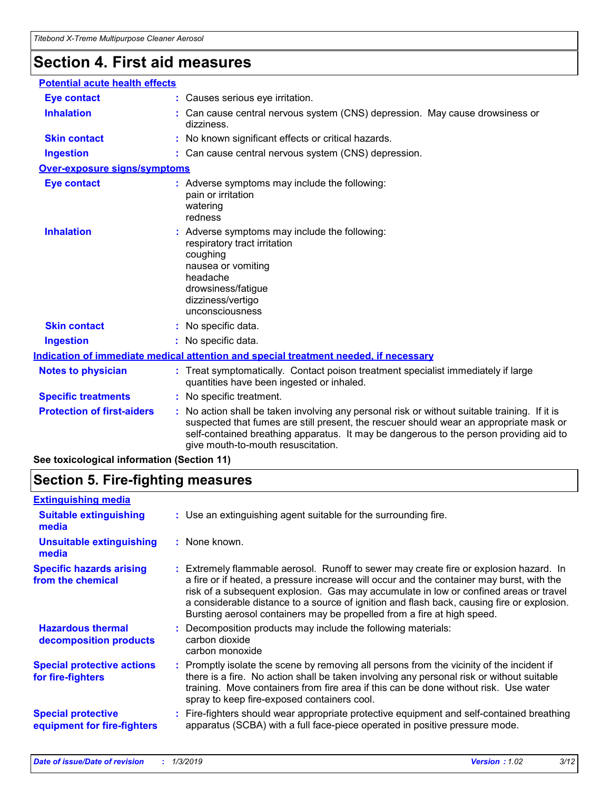# **Section 4. First aid measures**

| <b>Potential acute health effects</b> |                                                                                                                                                                                                                                                                                                                         |
|---------------------------------------|-------------------------------------------------------------------------------------------------------------------------------------------------------------------------------------------------------------------------------------------------------------------------------------------------------------------------|
| <b>Eye contact</b>                    | : Causes serious eye irritation.                                                                                                                                                                                                                                                                                        |
| <b>Inhalation</b>                     | : Can cause central nervous system (CNS) depression. May cause drowsiness or<br>dizziness.                                                                                                                                                                                                                              |
| <b>Skin contact</b>                   | : No known significant effects or critical hazards.                                                                                                                                                                                                                                                                     |
| <b>Ingestion</b>                      | : Can cause central nervous system (CNS) depression.                                                                                                                                                                                                                                                                    |
| <b>Over-exposure signs/symptoms</b>   |                                                                                                                                                                                                                                                                                                                         |
| <b>Eye contact</b>                    | : Adverse symptoms may include the following:<br>pain or irritation<br>watering<br>redness                                                                                                                                                                                                                              |
| <b>Inhalation</b>                     | : Adverse symptoms may include the following:<br>respiratory tract irritation<br>coughing<br>nausea or vomiting<br>headache<br>drowsiness/fatigue<br>dizziness/vertigo<br>unconsciousness                                                                                                                               |
| <b>Skin contact</b>                   | : No specific data.                                                                                                                                                                                                                                                                                                     |
| <b>Ingestion</b>                      | : No specific data.                                                                                                                                                                                                                                                                                                     |
|                                       | <b>Indication of immediate medical attention and special treatment needed, if necessary</b>                                                                                                                                                                                                                             |
| <b>Notes to physician</b>             | : Treat symptomatically. Contact poison treatment specialist immediately if large<br>quantities have been ingested or inhaled.                                                                                                                                                                                          |
| <b>Specific treatments</b>            | : No specific treatment.                                                                                                                                                                                                                                                                                                |
| <b>Protection of first-aiders</b>     | : No action shall be taken involving any personal risk or without suitable training. If it is<br>suspected that fumes are still present, the rescuer should wear an appropriate mask or<br>self-contained breathing apparatus. It may be dangerous to the person providing aid to<br>give mouth-to-mouth resuscitation. |

**See toxicological information (Section 11)**

# **Section 5. Fire-fighting measures**

| <b>Extinguishing media</b>                               |                                                                                                                                                                                                                                                                                                                                                                                                                                                       |
|----------------------------------------------------------|-------------------------------------------------------------------------------------------------------------------------------------------------------------------------------------------------------------------------------------------------------------------------------------------------------------------------------------------------------------------------------------------------------------------------------------------------------|
| <b>Suitable extinguishing</b><br>media                   | : Use an extinguishing agent suitable for the surrounding fire.                                                                                                                                                                                                                                                                                                                                                                                       |
| <b>Unsuitable extinguishing</b><br>media                 | : None known.                                                                                                                                                                                                                                                                                                                                                                                                                                         |
| <b>Specific hazards arising</b><br>from the chemical     | : Extremely flammable aerosol. Runoff to sewer may create fire or explosion hazard. In<br>a fire or if heated, a pressure increase will occur and the container may burst, with the<br>risk of a subsequent explosion. Gas may accumulate in low or confined areas or travel<br>a considerable distance to a source of ignition and flash back, causing fire or explosion.<br>Bursting aerosol containers may be propelled from a fire at high speed. |
| <b>Hazardous thermal</b><br>decomposition products       | Decomposition products may include the following materials:<br>carbon dioxide<br>carbon monoxide                                                                                                                                                                                                                                                                                                                                                      |
| <b>Special protective actions</b><br>for fire-fighters   | : Promptly isolate the scene by removing all persons from the vicinity of the incident if<br>there is a fire. No action shall be taken involving any personal risk or without suitable<br>training. Move containers from fire area if this can be done without risk. Use water<br>spray to keep fire-exposed containers cool.                                                                                                                         |
| <b>Special protective</b><br>equipment for fire-fighters | Fire-fighters should wear appropriate protective equipment and self-contained breathing<br>apparatus (SCBA) with a full face-piece operated in positive pressure mode.                                                                                                                                                                                                                                                                                |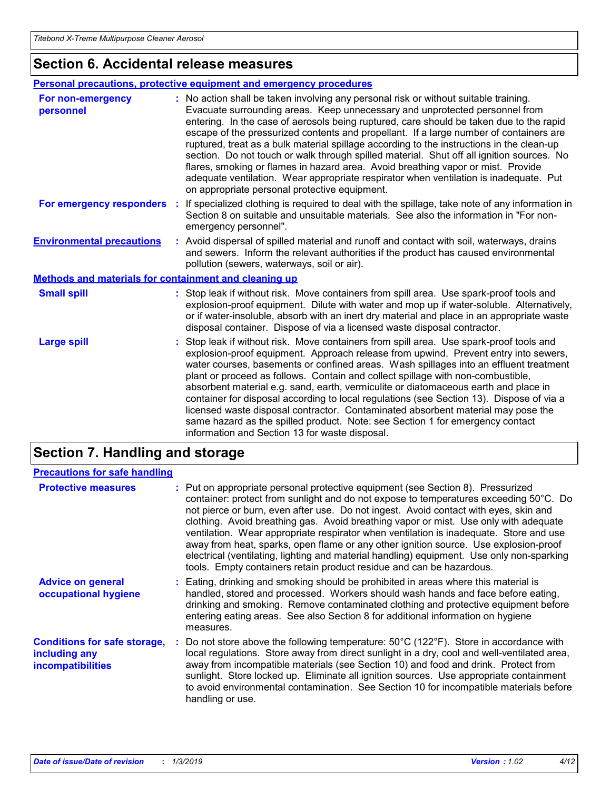# **Section 6. Accidental release measures**

## **Personal precautions, protective equipment and emergency procedures**

| For non-emergency<br>personnel                               | : No action shall be taken involving any personal risk or without suitable training.<br>Evacuate surrounding areas. Keep unnecessary and unprotected personnel from<br>entering. In the case of aerosols being ruptured, care should be taken due to the rapid<br>escape of the pressurized contents and propellant. If a large number of containers are<br>ruptured, treat as a bulk material spillage according to the instructions in the clean-up<br>section. Do not touch or walk through spilled material. Shut off all ignition sources. No<br>flares, smoking or flames in hazard area. Avoid breathing vapor or mist. Provide<br>adequate ventilation. Wear appropriate respirator when ventilation is inadequate. Put<br>on appropriate personal protective equipment. |
|--------------------------------------------------------------|----------------------------------------------------------------------------------------------------------------------------------------------------------------------------------------------------------------------------------------------------------------------------------------------------------------------------------------------------------------------------------------------------------------------------------------------------------------------------------------------------------------------------------------------------------------------------------------------------------------------------------------------------------------------------------------------------------------------------------------------------------------------------------|
| For emergency responders                                     | If specialized clothing is required to deal with the spillage, take note of any information in<br>Section 8 on suitable and unsuitable materials. See also the information in "For non-<br>emergency personnel".                                                                                                                                                                                                                                                                                                                                                                                                                                                                                                                                                                 |
| <b>Environmental precautions</b>                             | : Avoid dispersal of spilled material and runoff and contact with soil, waterways, drains<br>and sewers. Inform the relevant authorities if the product has caused environmental<br>pollution (sewers, waterways, soil or air).                                                                                                                                                                                                                                                                                                                                                                                                                                                                                                                                                  |
| <b>Methods and materials for containment and cleaning up</b> |                                                                                                                                                                                                                                                                                                                                                                                                                                                                                                                                                                                                                                                                                                                                                                                  |
| <b>Small spill</b>                                           | : Stop leak if without risk. Move containers from spill area. Use spark-proof tools and<br>explosion-proof equipment. Dilute with water and mop up if water-soluble. Alternatively,<br>or if water-insoluble, absorb with an inert dry material and place in an appropriate waste<br>disposal container. Dispose of via a licensed waste disposal contractor.                                                                                                                                                                                                                                                                                                                                                                                                                    |
| <b>Large spill</b>                                           | : Stop leak if without risk. Move containers from spill area. Use spark-proof tools and<br>explosion-proof equipment. Approach release from upwind. Prevent entry into sewers,<br>water courses, basements or confined areas. Wash spillages into an effluent treatment<br>plant or proceed as follows. Contain and collect spillage with non-combustible,<br>absorbent material e.g. sand, earth, vermiculite or diatomaceous earth and place in<br>container for disposal according to local regulations (see Section 13). Dispose of via a<br>licensed waste disposal contractor. Contaminated absorbent material may pose the<br>same hazard as the spilled product. Note: see Section 1 for emergency contact<br>information and Section 13 for waste disposal.             |

# **Section 7. Handling and storage**

| <b>Precautions for safe handling</b>                                             |                                                                                                                                                                                                                                                                                                                                                                                                                                                                                                                                                                                                                                                                                                                 |
|----------------------------------------------------------------------------------|-----------------------------------------------------------------------------------------------------------------------------------------------------------------------------------------------------------------------------------------------------------------------------------------------------------------------------------------------------------------------------------------------------------------------------------------------------------------------------------------------------------------------------------------------------------------------------------------------------------------------------------------------------------------------------------------------------------------|
| <b>Protective measures</b>                                                       | : Put on appropriate personal protective equipment (see Section 8). Pressurized<br>container: protect from sunlight and do not expose to temperatures exceeding 50°C. Do<br>not pierce or burn, even after use. Do not ingest. Avoid contact with eyes, skin and<br>clothing. Avoid breathing gas. Avoid breathing vapor or mist. Use only with adequate<br>ventilation. Wear appropriate respirator when ventilation is inadequate. Store and use<br>away from heat, sparks, open flame or any other ignition source. Use explosion-proof<br>electrical (ventilating, lighting and material handling) equipment. Use only non-sparking<br>tools. Empty containers retain product residue and can be hazardous. |
| <b>Advice on general</b><br>occupational hygiene                                 | : Eating, drinking and smoking should be prohibited in areas where this material is<br>handled, stored and processed. Workers should wash hands and face before eating,<br>drinking and smoking. Remove contaminated clothing and protective equipment before<br>entering eating areas. See also Section 8 for additional information on hygiene<br>measures.                                                                                                                                                                                                                                                                                                                                                   |
| <b>Conditions for safe storage,</b><br>including any<br><b>incompatibilities</b> | : Do not store above the following temperature: $50^{\circ}$ C (122 $^{\circ}$ F). Store in accordance with<br>local regulations. Store away from direct sunlight in a dry, cool and well-ventilated area,<br>away from incompatible materials (see Section 10) and food and drink. Protect from<br>sunlight. Store locked up. Eliminate all ignition sources. Use appropriate containment<br>to avoid environmental contamination. See Section 10 for incompatible materials before<br>handling or use.                                                                                                                                                                                                        |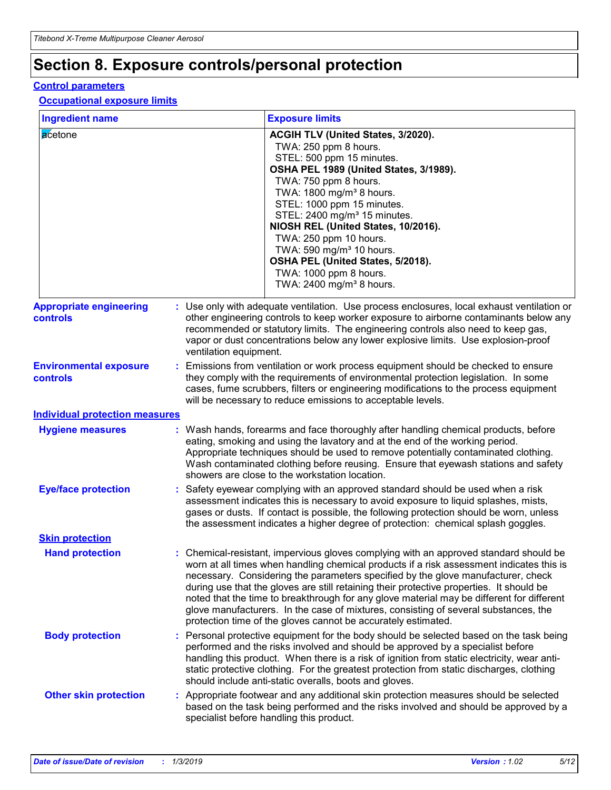# **Section 8. Exposure controls/personal protection**

## **Control parameters**

## **Occupational exposure limits**

| <b>Ingredient name</b>                           |  | <b>Exposure limits</b>                                                                                                                                                                                                                                                                                                                                                                                                                                                                                                                                                                                                 |  |  |
|--------------------------------------------------|--|------------------------------------------------------------------------------------------------------------------------------------------------------------------------------------------------------------------------------------------------------------------------------------------------------------------------------------------------------------------------------------------------------------------------------------------------------------------------------------------------------------------------------------------------------------------------------------------------------------------------|--|--|
| acetone                                          |  | ACGIH TLV (United States, 3/2020).<br>TWA: 250 ppm 8 hours.<br>STEL: 500 ppm 15 minutes.<br>OSHA PEL 1989 (United States, 3/1989).<br>TWA: 750 ppm 8 hours.<br>TWA: 1800 mg/m <sup>3</sup> 8 hours.<br>STEL: 1000 ppm 15 minutes.<br>STEL: 2400 mg/m <sup>3</sup> 15 minutes.<br>NIOSH REL (United States, 10/2016).<br>TWA: 250 ppm 10 hours.<br>TWA: 590 mg/m <sup>3</sup> 10 hours.<br>OSHA PEL (United States, 5/2018).<br>TWA: 1000 ppm 8 hours.<br>TWA: 2400 mg/m <sup>3</sup> 8 hours.                                                                                                                          |  |  |
| <b>Appropriate engineering</b><br>controls       |  | : Use only with adequate ventilation. Use process enclosures, local exhaust ventilation or<br>other engineering controls to keep worker exposure to airborne contaminants below any<br>recommended or statutory limits. The engineering controls also need to keep gas,<br>vapor or dust concentrations below any lower explosive limits. Use explosion-proof<br>ventilation equipment.                                                                                                                                                                                                                                |  |  |
| <b>Environmental exposure</b><br><b>controls</b> |  | : Emissions from ventilation or work process equipment should be checked to ensure<br>they comply with the requirements of environmental protection legislation. In some<br>cases, fume scrubbers, filters or engineering modifications to the process equipment<br>will be necessary to reduce emissions to acceptable levels.                                                                                                                                                                                                                                                                                        |  |  |
| <b>Individual protection measures</b>            |  |                                                                                                                                                                                                                                                                                                                                                                                                                                                                                                                                                                                                                        |  |  |
| <b>Hygiene measures</b>                          |  | : Wash hands, forearms and face thoroughly after handling chemical products, before<br>eating, smoking and using the lavatory and at the end of the working period.<br>Appropriate techniques should be used to remove potentially contaminated clothing.<br>Wash contaminated clothing before reusing. Ensure that eyewash stations and safety<br>showers are close to the workstation location.                                                                                                                                                                                                                      |  |  |
| <b>Eye/face protection</b>                       |  | : Safety eyewear complying with an approved standard should be used when a risk<br>assessment indicates this is necessary to avoid exposure to liquid splashes, mists,<br>gases or dusts. If contact is possible, the following protection should be worn, unless<br>the assessment indicates a higher degree of protection: chemical splash goggles.                                                                                                                                                                                                                                                                  |  |  |
| <b>Skin protection</b>                           |  |                                                                                                                                                                                                                                                                                                                                                                                                                                                                                                                                                                                                                        |  |  |
| <b>Hand protection</b>                           |  | : Chemical-resistant, impervious gloves complying with an approved standard should be<br>worn at all times when handling chemical products if a risk assessment indicates this is<br>necessary. Considering the parameters specified by the glove manufacturer, check<br>during use that the gloves are still retaining their protective properties. It should be<br>noted that the time to breakthrough for any glove material may be different for different<br>glove manufacturers. In the case of mixtures, consisting of several substances, the<br>protection time of the gloves cannot be accurately estimated. |  |  |
| <b>Body protection</b>                           |  | : Personal protective equipment for the body should be selected based on the task being<br>performed and the risks involved and should be approved by a specialist before<br>handling this product. When there is a risk of ignition from static electricity, wear anti-<br>static protective clothing. For the greatest protection from static discharges, clothing<br>should include anti-static overalls, boots and gloves.                                                                                                                                                                                         |  |  |
| <b>Other skin protection</b>                     |  | : Appropriate footwear and any additional skin protection measures should be selected<br>based on the task being performed and the risks involved and should be approved by a<br>specialist before handling this product.                                                                                                                                                                                                                                                                                                                                                                                              |  |  |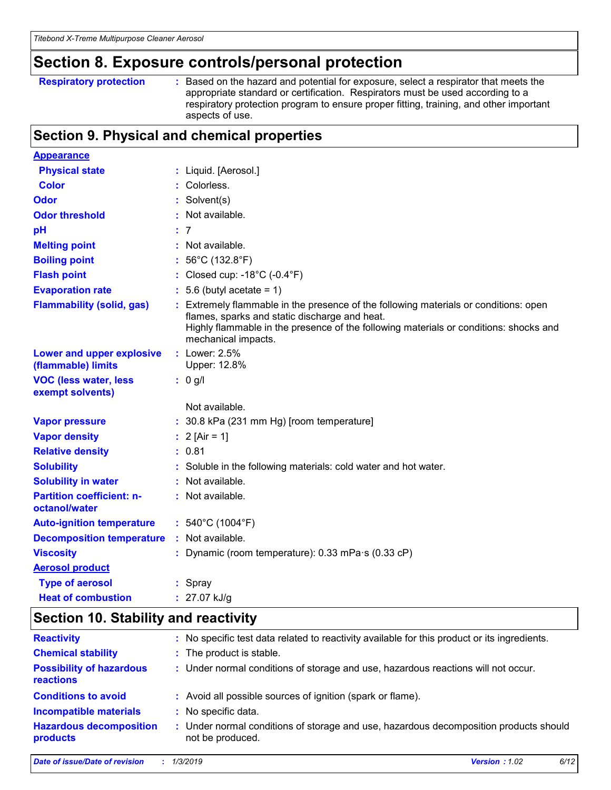# **Section 8. Exposure controls/personal protection**

| <b>Respiratory protection</b> |  |  |
|-------------------------------|--|--|
|                               |  |  |

**Respiratory protection :** Based on the hazard and potential for exposure, select a respirator that meets the appropriate standard or certification. Respirators must be used according to a respiratory protection program to ensure proper fitting, training, and other important aspects of use.

# **Section 9. Physical and chemical properties**

| <b>Appearance</b>                                 |                                                                                                                                                                                                                                                       |
|---------------------------------------------------|-------------------------------------------------------------------------------------------------------------------------------------------------------------------------------------------------------------------------------------------------------|
| <b>Physical state</b>                             | : Liquid. [Aerosol.]                                                                                                                                                                                                                                  |
| <b>Color</b>                                      | : Colorless.                                                                                                                                                                                                                                          |
| <b>Odor</b>                                       | : Solvent(s)                                                                                                                                                                                                                                          |
| <b>Odor threshold</b>                             | : Not available.                                                                                                                                                                                                                                      |
| рH                                                | : 7                                                                                                                                                                                                                                                   |
| <b>Melting point</b>                              | : Not available.                                                                                                                                                                                                                                      |
| <b>Boiling point</b>                              | 56°C (132.8°F)                                                                                                                                                                                                                                        |
| <b>Flash point</b>                                | : Closed cup: $-18^{\circ}$ C ( $-0.4^{\circ}$ F)                                                                                                                                                                                                     |
| <b>Evaporation rate</b>                           | $: 5.6$ (butyl acetate = 1)                                                                                                                                                                                                                           |
| <b>Flammability (solid, gas)</b>                  | : Extremely flammable in the presence of the following materials or conditions: open<br>flames, sparks and static discharge and heat.<br>Highly flammable in the presence of the following materials or conditions: shocks and<br>mechanical impacts. |
| Lower and upper explosive<br>(flammable) limits   | : Lower: 2.5%<br>Upper: 12.8%                                                                                                                                                                                                                         |
| <b>VOC (less water, less</b><br>exempt solvents)  | $: 0$ g/l                                                                                                                                                                                                                                             |
|                                                   | Not available.                                                                                                                                                                                                                                        |
| <b>Vapor pressure</b>                             | : 30.8 kPa (231 mm Hg) [room temperature]                                                                                                                                                                                                             |
| <b>Vapor density</b>                              | : $2 \text{ [Air = 1]}$                                                                                                                                                                                                                               |
| <b>Relative density</b>                           | : 0.81                                                                                                                                                                                                                                                |
| <b>Solubility</b>                                 | : Soluble in the following materials: cold water and hot water.                                                                                                                                                                                       |
| <b>Solubility in water</b>                        | : Not available.                                                                                                                                                                                                                                      |
| <b>Partition coefficient: n-</b><br>octanol/water | : Not available.                                                                                                                                                                                                                                      |
| <b>Auto-ignition temperature</b>                  | : $540^{\circ}$ C (1004 $^{\circ}$ F)                                                                                                                                                                                                                 |
| <b>Decomposition temperature</b>                  | : Not available.                                                                                                                                                                                                                                      |
| <b>Viscosity</b>                                  | : Dynamic (room temperature): 0.33 mPa·s (0.33 cP)                                                                                                                                                                                                    |
| <b>Aerosol product</b>                            |                                                                                                                                                                                                                                                       |
| <b>Type of aerosol</b>                            | : Spray                                                                                                                                                                                                                                               |
| <b>Heat of combustion</b>                         | : 27.07 kJ/g                                                                                                                                                                                                                                          |

# **Section 10. Stability and reactivity**

| <b>Reactivity</b>                            | : No specific test data related to reactivity available for this product or its ingredients.              |
|----------------------------------------------|-----------------------------------------------------------------------------------------------------------|
| <b>Chemical stability</b>                    | : The product is stable.                                                                                  |
| <b>Possibility of hazardous</b><br>reactions | : Under normal conditions of storage and use, hazardous reactions will not occur.                         |
| <b>Conditions to avoid</b>                   | : Avoid all possible sources of ignition (spark or flame).                                                |
| <b>Incompatible materials</b>                | : No specific data.                                                                                       |
| <b>Hazardous decomposition</b><br>products   | : Under normal conditions of storage and use, hazardous decomposition products should<br>not be produced. |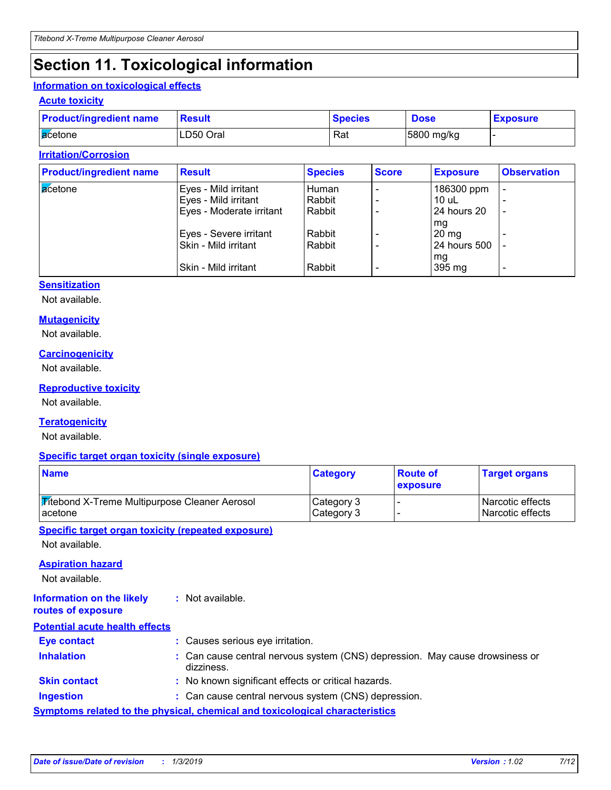# **Section 11. Toxicological information**

## **Information on toxicological effects**

## **Acute toxicity**

| <b>Product/ingredient name</b> | Result    | <b>Species</b> | <b>Dose</b> | <b>Exposure</b> |
|--------------------------------|-----------|----------------|-------------|-----------------|
| <b>a</b> cetone                | LD50 Oral | Rat            | 5800 mg/kg  |                 |

## **Irritation/Corrosion**

| <b>Product/ingredient name</b> | <b>Result</b>            | <b>Species</b> | <b>Score</b> | <b>Exposure</b> | <b>Observation</b>       |
|--------------------------------|--------------------------|----------------|--------------|-----------------|--------------------------|
| acetone                        | Eyes - Mild irritant     | Human          |              | 186300 ppm      | $\overline{\phantom{0}}$ |
|                                | Eyes - Mild irritant     | Rabbit         |              | 10 uL           |                          |
|                                | Eyes - Moderate irritant | Rabbit         |              | 24 hours 20     | $\overline{\phantom{0}}$ |
|                                |                          |                |              | mg              |                          |
|                                | Eyes - Severe irritant   | Rabbit         |              | $20 \text{ mg}$ |                          |
|                                | Skin - Mild irritant     | Rabbit         |              | 24 hours 500    |                          |
|                                |                          |                |              | mg              |                          |
|                                | Skin - Mild irritant     | Rabbit         |              | 395 mg          | $\overline{\phantom{0}}$ |

# **Sensitization**

Not available.

# **Mutagenicity**

Not available.

#### **Carcinogenicity**

Not available.

### **Reproductive toxicity**

Not available.

# **Teratogenicity**

Not available.

#### **Specific target organ toxicity (single exposure)**

| <b>Name</b>                                          | <b>Category</b> | <b>Route of</b><br>exposure | <b>Target organs</b> |
|------------------------------------------------------|-----------------|-----------------------------|----------------------|
| <b>Mitebond X-Treme Multipurpose Cleaner Aerosol</b> | Category 3      |                             | l Narcotic effects   |
| acetone                                              | Category 3      |                             | l Narcotic effects   |

**Specific target organ toxicity (repeated exposure)**

Not available.

### **Aspiration hazard**

Not available.

**Information on the likely routes of exposure :** Not available.

## **Potential acute health effects**

| <b>Eye contact</b>                                                           | : Causes serious eye irritation.                                                           |  |  |  |
|------------------------------------------------------------------------------|--------------------------------------------------------------------------------------------|--|--|--|
| <b>Inhalation</b>                                                            | : Can cause central nervous system (CNS) depression. May cause drowsiness or<br>dizziness. |  |  |  |
| <b>Skin contact</b>                                                          | : No known significant effects or critical hazards.                                        |  |  |  |
| <b>Ingestion</b>                                                             | : Can cause central nervous system (CNS) depression.                                       |  |  |  |
| Symptoms related to the physical, chemical and toxicological characteristics |                                                                                            |  |  |  |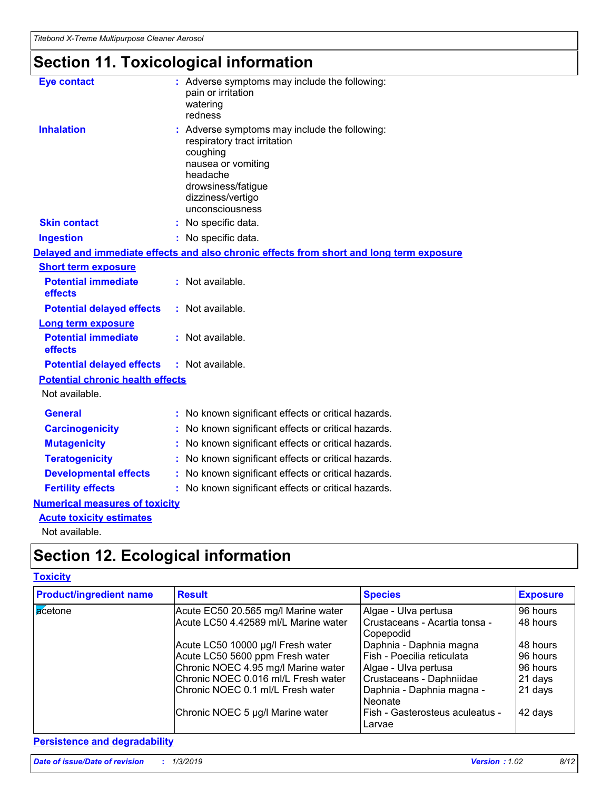# **Section 11. Toxicological information**

| <b>Eye contact</b>                      | Adverse symptoms may include the following:<br>pain or irritation<br>watering<br>redness                                                                                                  |  |
|-----------------------------------------|-------------------------------------------------------------------------------------------------------------------------------------------------------------------------------------------|--|
| <b>Inhalation</b>                       | : Adverse symptoms may include the following:<br>respiratory tract irritation<br>coughing<br>nausea or vomiting<br>headache<br>drowsiness/fatigue<br>dizziness/vertigo<br>unconsciousness |  |
| <b>Skin contact</b>                     | : No specific data.                                                                                                                                                                       |  |
| <b>Ingestion</b>                        | : No specific data.                                                                                                                                                                       |  |
|                                         | Delayed and immediate effects and also chronic effects from short and long term exposure                                                                                                  |  |
| <b>Short term exposure</b>              |                                                                                                                                                                                           |  |
| <b>Potential immediate</b><br>effects   | : Not available.                                                                                                                                                                          |  |
| <b>Potential delayed effects</b>        | : Not available.                                                                                                                                                                          |  |
| <b>Long term exposure</b>               |                                                                                                                                                                                           |  |
| <b>Potential immediate</b><br>effects   | : Not available.                                                                                                                                                                          |  |
| <b>Potential delayed effects</b>        | $:$ Not available.                                                                                                                                                                        |  |
| <b>Potential chronic health effects</b> |                                                                                                                                                                                           |  |
| Not available.                          |                                                                                                                                                                                           |  |
| <b>General</b>                          | : No known significant effects or critical hazards.                                                                                                                                       |  |
| <b>Carcinogenicity</b>                  | No known significant effects or critical hazards.                                                                                                                                         |  |
| <b>Mutagenicity</b>                     | No known significant effects or critical hazards.                                                                                                                                         |  |
| <b>Teratogenicity</b>                   | No known significant effects or critical hazards.                                                                                                                                         |  |
| <b>Developmental effects</b>            | : No known significant effects or critical hazards.                                                                                                                                       |  |
| <b>Fertility effects</b>                | : No known significant effects or critical hazards.                                                                                                                                       |  |
| <b>Numerical measures of toxicity</b>   |                                                                                                                                                                                           |  |
| <b>Acute toxicity estimates</b>         |                                                                                                                                                                                           |  |
| Not available.                          |                                                                                                                                                                                           |  |

# **Section 12. Ecological information**

# **Toxicity**

| <b>Product/ingredient name</b> | <b>Result</b>                        | <b>Species</b>                             | <b>Exposure</b> |
|--------------------------------|--------------------------------------|--------------------------------------------|-----------------|
| acetone                        | Acute EC50 20.565 mg/l Marine water  | Algae - Ulva pertusa                       | 96 hours        |
|                                | Acute LC50 4.42589 ml/L Marine water | Crustaceans - Acartia tonsa -<br>Copepodid | 48 hours        |
|                                | Acute LC50 10000 µg/l Fresh water    | Daphnia - Daphnia magna                    | 48 hours        |
|                                | Acute LC50 5600 ppm Fresh water      | Fish - Poecilia reticulata                 | 96 hours        |
|                                | Chronic NOEC 4.95 mg/l Marine water  | Algae - Ulva pertusa                       | 96 hours        |
|                                | Chronic NOEC 0.016 ml/L Fresh water  | Crustaceans - Daphniidae                   | 21 days         |
|                                | Chronic NOEC 0.1 ml/L Fresh water    | Daphnia - Daphnia magna -<br>Neonate       | 21 days         |
|                                | Chronic NOEC 5 µg/l Marine water     | Fish - Gasterosteus aculeatus -<br>Larvae  | 42 days         |

# **Persistence and degradability**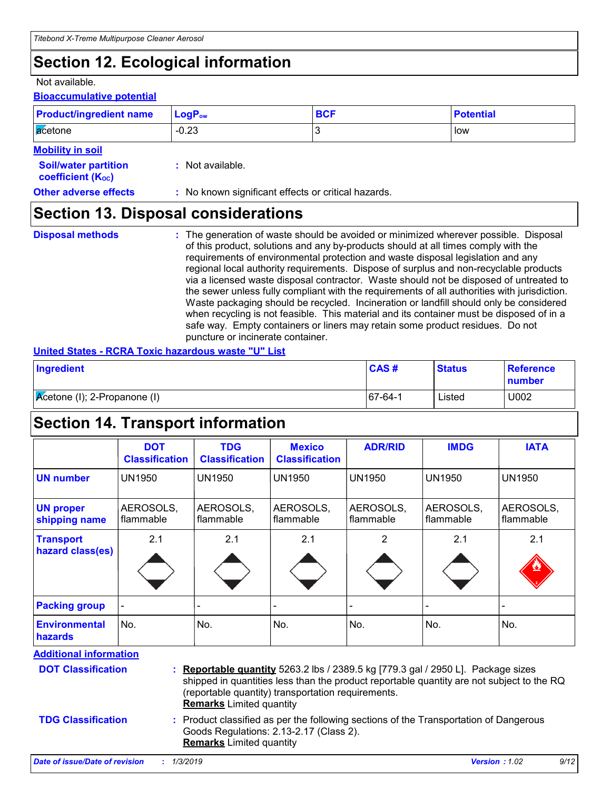# **Section 12. Ecological information**

### Not available.

# **Bioaccumulative potential**

| <b>Product/ingredient name</b>                          | $LogP_{ow}$                                         | <b>BCF</b> | <b>Potential</b> |
|---------------------------------------------------------|-----------------------------------------------------|------------|------------------|
| acetone                                                 | $-0.23$                                             | Ι3         | low              |
| <b>Mobility in soil</b>                                 |                                                     |            |                  |
| <b>Soil/water partition</b><br><b>coefficient (Koc)</b> | $:$ Not available.                                  |            |                  |
| <b>Other adverse effects</b>                            | : No known significant effects or critical hazards. |            |                  |

# **Section 13. Disposal considerations**

- **Disposal methods :**
- The generation of waste should be avoided or minimized wherever possible. Disposal of this product, solutions and any by-products should at all times comply with the requirements of environmental protection and waste disposal legislation and any regional local authority requirements. Dispose of surplus and non-recyclable products via a licensed waste disposal contractor. Waste should not be disposed of untreated to the sewer unless fully compliant with the requirements of all authorities with jurisdiction. Waste packaging should be recycled. Incineration or landfill should only be considered when recycling is not feasible. This material and its container must be disposed of in a safe way. Empty containers or liners may retain some product residues. Do not puncture or incinerate container.

## **United States - RCRA Toxic hazardous waste "U" List**

| Ingredient                           | CAS#        | <b>Status</b> | Reference<br>number |
|--------------------------------------|-------------|---------------|---------------------|
| <b>K</b> cetone (I); 2-Propanone (I) | $ 67-64-1 $ | Listed        | U002                |

# **Section 14. Transport information**

|                                      | <b>DOT</b><br><b>Classification</b> | <b>TDG</b><br><b>Classification</b> | <b>Mexico</b><br><b>Classification</b> | <b>ADR/RID</b>         | <b>IMDG</b>            | <b>IATA</b>              |
|--------------------------------------|-------------------------------------|-------------------------------------|----------------------------------------|------------------------|------------------------|--------------------------|
| <b>UN number</b>                     | <b>UN1950</b>                       | UN1950                              | <b>UN1950</b>                          | <b>UN1950</b>          | <b>UN1950</b>          | <b>UN1950</b>            |
| <b>UN proper</b><br>shipping name    | AEROSOLS,<br><b>flammable</b>       | AEROSOLS,<br>flammable              | AEROSOLS,<br>flammable                 | AEROSOLS,<br>flammable | AEROSOLS,<br>flammable | AEROSOLS,<br>l flammable |
| <b>Transport</b><br>hazard class(es) | 2.1                                 | 2.1                                 | 2.1                                    | 2                      | 2.1                    | 2.1<br>۹                 |
| <b>Packing group</b>                 |                                     |                                     |                                        |                        |                        |                          |
| Environmental<br>hazards             | No.                                 | No.                                 | No.                                    | No.                    | No.                    | No.                      |

**Additional information**

| <b>DOT Classification</b> | : Reportable quantity 5263.2 lbs / 2389.5 kg [779.3 gal / 2950 L]. Package sizes<br>shipped in quantities less than the product reportable quantity are not subject to the RQ<br>(reportable quantity) transportation requirements.<br><b>Remarks</b> Limited quantity |
|---------------------------|------------------------------------------------------------------------------------------------------------------------------------------------------------------------------------------------------------------------------------------------------------------------|
| <b>TDG Classification</b> | : Product classified as per the following sections of the Transportation of Dangerous<br>Goods Regulations: 2.13-2.17 (Class 2).<br><b>Remarks</b> Limited quantity                                                                                                    |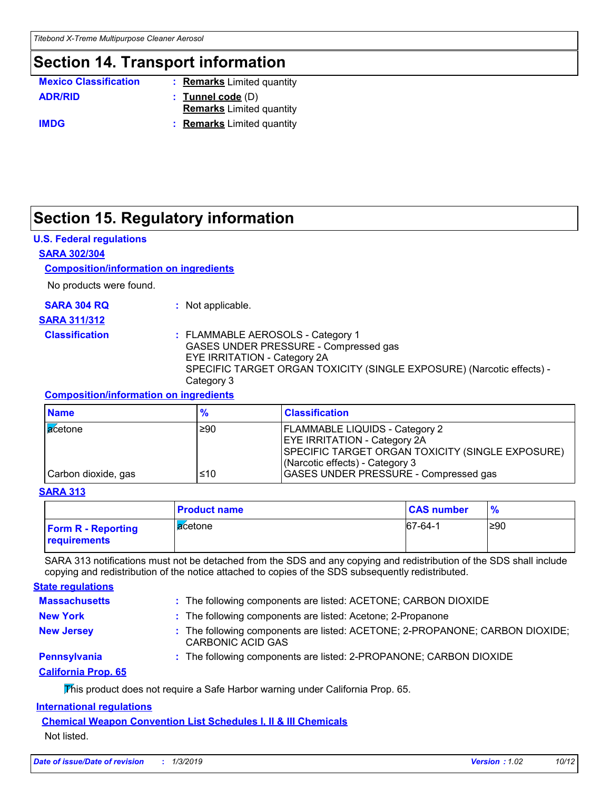# **Section 14. Transport information**

| <b>Mexico Classification</b> | : Remarks Limited quantity      |
|------------------------------|---------------------------------|
| <b>ADR/RID</b>               | $:$ Tunnel code $(D)$           |
|                              | <b>Remarks</b> Limited quantity |
| <b>IMDG</b>                  | : Remarks Limited quantity      |

# **Section 15. Regulatory information**

# **U.S. Federal regulations**

### **SARA 302/304**

# **Composition/information on ingredients**

No products were found.

**SARA 311/312**

**SARA 304 RQ :** Not applicable.

## **Classification :** FLAMMABLE AEROSOLS - Category 1 GASES UNDER PRESSURE - Compressed gas EYE IRRITATION - Category 2A SPECIFIC TARGET ORGAN TOXICITY (SINGLE EXPOSURE) (Narcotic effects) - Category 3

## **Composition/information on ingredients**

| <b>Name</b>         | $\frac{9}{6}$ | <b>Classification</b>                                                                                                                                               |
|---------------------|---------------|---------------------------------------------------------------------------------------------------------------------------------------------------------------------|
| <b>a</b> cetone     | ≥90           | <b>FLAMMABLE LIQUIDS - Category 2</b><br><b>EYE IRRITATION - Category 2A</b><br>SPECIFIC TARGET ORGAN TOXICITY (SINGLE EXPOSURE)<br>(Narcotic effects) - Category 3 |
| Carbon dioxide, gas | $≤10$         | <b>GASES UNDER PRESSURE - Compressed gas</b>                                                                                                                        |

#### **SARA 313**

|                                           | <b>Product name</b> | <b>CAS number</b> |      |
|-------------------------------------------|---------------------|-------------------|------|
| <b>Form R - Reporting</b><br>requirements | lacetone            | 67-64-1           | l≥90 |

SARA 313 notifications must not be detached from the SDS and any copying and redistribution of the SDS shall include copying and redistribution of the notice attached to copies of the SDS subsequently redistributed.

| <b>State regulations</b>   |                                                                                                          |
|----------------------------|----------------------------------------------------------------------------------------------------------|
| <b>Massachusetts</b>       | : The following components are listed: ACETONE; CARBON DIOXIDE                                           |
| <b>New York</b>            | : The following components are listed: Acetone; 2-Propanone                                              |
| <b>New Jersey</b>          | : The following components are listed: ACETONE; 2-PROPANONE; CARBON DIOXIDE;<br><b>CARBONIC ACID GAS</b> |
| <b>Pennsylvania</b>        | : The following components are listed: 2-PROPANONE; CARBON DIOXIDE                                       |
| <b>California Prop. 65</b> |                                                                                                          |
|                            | This product does not require a Safe Harbor warning under California Prop. 65.                           |

## **International regulations**

# **Chemical Weapon Convention List Schedules I, II & III Chemicals**

Not listed.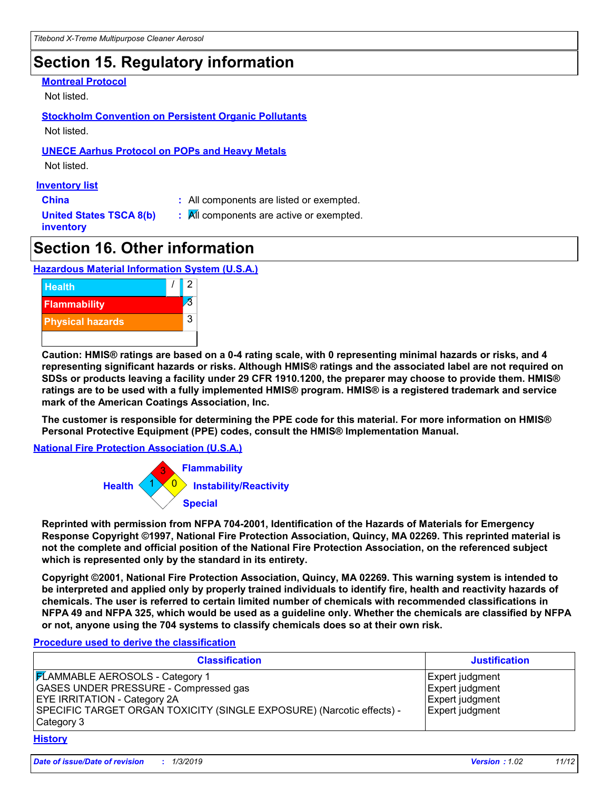# **Section 15. Regulatory information**

### **Montreal Protocol**

Not listed.

# **Stockholm Convention on Persistent Organic Pollutants**

Not listed.

# **UNECE Aarhus Protocol on POPs and Heavy Metals**

Not listed.

# **Inventory list**

**China :** All components are listed or exempted.

**United States TSCA 8(b) inventory**

**:** All components are active or exempted.

# **Section 16. Other information**

# **Hazardous Material Information System (U.S.A.)**



**Caution: HMIS® ratings are based on a 0-4 rating scale, with 0 representing minimal hazards or risks, and 4 representing significant hazards or risks. Although HMIS® ratings and the associated label are not required on SDSs or products leaving a facility under 29 CFR 1910.1200, the preparer may choose to provide them. HMIS® ratings are to be used with a fully implemented HMIS® program. HMIS® is a registered trademark and service mark of the American Coatings Association, Inc.**

**The customer is responsible for determining the PPE code for this material. For more information on HMIS® Personal Protective Equipment (PPE) codes, consult the HMIS® Implementation Manual.**

**National Fire Protection Association (U.S.A.)**



**Reprinted with permission from NFPA 704-2001, Identification of the Hazards of Materials for Emergency Response Copyright ©1997, National Fire Protection Association, Quincy, MA 02269. This reprinted material is not the complete and official position of the National Fire Protection Association, on the referenced subject which is represented only by the standard in its entirety.**

**Copyright ©2001, National Fire Protection Association, Quincy, MA 02269. This warning system is intended to be interpreted and applied only by properly trained individuals to identify fire, health and reactivity hazards of chemicals. The user is referred to certain limited number of chemicals with recommended classifications in NFPA 49 and NFPA 325, which would be used as a guideline only. Whether the chemicals are classified by NFPA or not, anyone using the 704 systems to classify chemicals does so at their own risk.**

#### **Procedure used to derive the classification**

| <b>Classification</b>                                                                                                                                                                                                | <b>Justification</b>                                                     |
|----------------------------------------------------------------------------------------------------------------------------------------------------------------------------------------------------------------------|--------------------------------------------------------------------------|
| <b>FLAMMABLE AEROSOLS - Category 1</b><br><b>GASES UNDER PRESSURE - Compressed gas</b><br><b>EYE IRRITATION - Category 2A</b><br>SPECIFIC TARGET ORGAN TOXICITY (SINGLE EXPOSURE) (Narcotic effects) -<br>Category 3 | Expert judgment<br>Expert judgment<br>Expert judgment<br>Expert judgment |

#### **History**